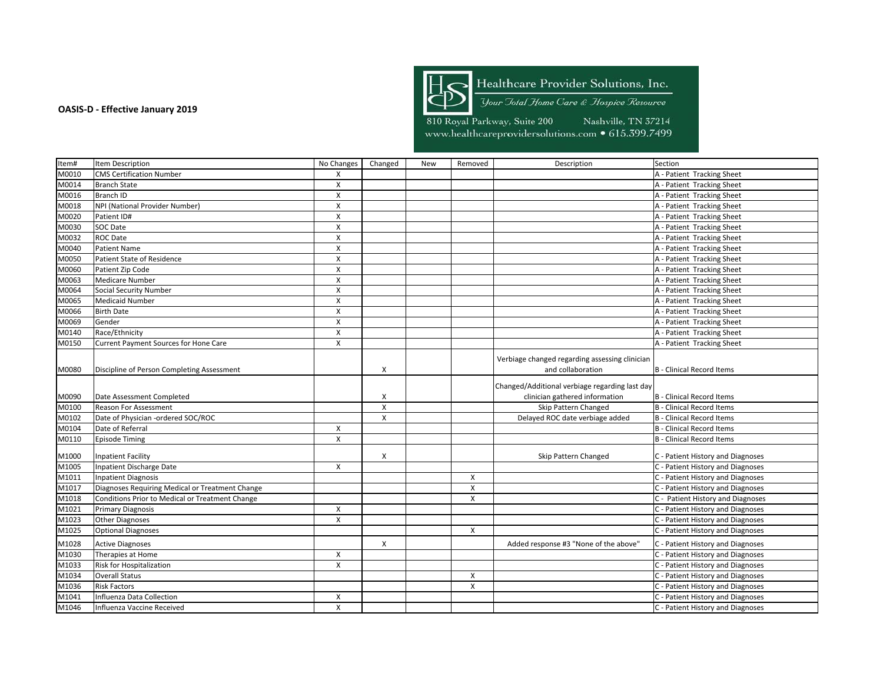

Healthcare Provider Solutions, Inc.

Your Jotal Home Care & Hospice Resource

| Item#              | Item Description                                | No Changes                | Changed      | <b>New</b> | Removed      | Description                                    | Section                           |
|--------------------|-------------------------------------------------|---------------------------|--------------|------------|--------------|------------------------------------------------|-----------------------------------|
| M0010              | <b>CMS Certification Number</b>                 | X                         |              |            |              |                                                | A - Patient Tracking Sheet        |
| M0014              | <b>Branch State</b>                             | $\mathsf{X}$              |              |            |              |                                                | A - Patient Tracking Sheet        |
| M0016              | Branch ID                                       | X                         |              |            |              |                                                | A - Patient Tracking Sheet        |
| M0018              | NPI (National Provider Number)                  | $\boldsymbol{\mathsf{x}}$ |              |            |              |                                                | A - Patient Tracking Sheet        |
| M0020              | Patient ID#                                     | X                         |              |            |              |                                                | A - Patient Tracking Sheet        |
| M0030              | SOC Date                                        | X                         |              |            |              |                                                | A - Patient Tracking Sheet        |
| M0032              | <b>ROC Date</b>                                 | X                         |              |            |              |                                                | A - Patient Tracking Sheet        |
| M0040              | <b>Patient Name</b>                             | $\boldsymbol{\mathsf{x}}$ |              |            |              |                                                | A - Patient Tracking Sheet        |
| M0050              | Patient State of Residence                      | $\pmb{\times}$            |              |            |              |                                                | A - Patient Tracking Sheet        |
| M0060              | Patient Zip Code                                | $\boldsymbol{\mathsf{x}}$ |              |            |              |                                                | A - Patient Tracking Sheet        |
| M0063              | <b>Medicare Number</b>                          | X                         |              |            |              |                                                | A - Patient Tracking Sheet        |
| M0064              | <b>Social Security Number</b>                   | $\mathsf{x}$              |              |            |              |                                                | A - Patient Tracking Sheet        |
| M0065              | <b>Medicaid Number</b>                          | $\pmb{\times}$            |              |            |              |                                                | A - Patient Tracking Sheet        |
| M0066              | <b>Birth Date</b>                               | X                         |              |            |              |                                                | A - Patient Tracking Sheet        |
| M0069              | Gender                                          | $\boldsymbol{\mathsf{x}}$ |              |            |              |                                                | A - Patient Tracking Sheet        |
| M0140              | Race/Ethnicity                                  | $\mathsf{X}$              |              |            |              |                                                | A - Patient Tracking Sheet        |
| M0150              | <b>Current Payment Sources for Hone Care</b>    | X                         |              |            |              |                                                | A - Patient Tracking Sheet        |
|                    |                                                 |                           |              |            |              | Verbiage changed regarding assessing clinician |                                   |
|                    |                                                 |                           |              |            |              | and collaboration                              |                                   |
| M0080              | Discipline of Person Completing Assessment      |                           | X            |            |              |                                                | <b>B</b> - Clinical Record Items  |
|                    |                                                 |                           |              |            |              | Changed/Additional verbiage regarding last day |                                   |
| M0090              | Date Assessment Completed                       |                           | X            |            |              | clinician gathered information                 | <b>B</b> - Clinical Record Items  |
| M0100              | Reason For Assessment                           |                           | X            |            |              | Skip Pattern Changed                           | <b>B</b> - Clinical Record Items  |
| M0102              | Date of Physician -ordered SOC/ROC              |                           | $\mathsf{X}$ |            |              | Delayed ROC date verbiage added                | <b>B</b> - Clinical Record Items  |
| M0104              | Date of Referral                                | X                         |              |            |              |                                                | <b>B</b> - Clinical Record Items  |
| M0110              | <b>Episode Timing</b>                           | X                         |              |            |              |                                                | <b>B</b> - Clinical Record Items  |
| M1000              | <b>Inpatient Facility</b>                       |                           | X            |            |              | Skip Pattern Changed                           | C - Patient History and Diagnoses |
| M1005              | Inpatient Discharge Date                        | X                         |              |            |              |                                                | C - Patient History and Diagnoses |
| M1011              | <b>Inpatient Diagnosis</b>                      |                           |              |            | X            |                                                | C - Patient History and Diagnoses |
| M1017              | Diagnoses Requiring Medical or Treatment Change |                           |              |            | $\pmb{\chi}$ |                                                | C - Patient History and Diagnoses |
| M1018              | Conditions Prior to Medical or Treatment Change |                           |              |            | X            |                                                | C - Patient History and Diagnoses |
| $\overline{M1021}$ | <b>Primary Diagnosis</b>                        | X                         |              |            |              |                                                | C - Patient History and Diagnoses |
| M1023              | <b>Other Diagnoses</b>                          | X                         |              |            |              |                                                | C - Patient History and Diagnoses |
| M1025              | <b>Optional Diagnoses</b>                       |                           |              |            | X            |                                                | C - Patient History and Diagnoses |
|                    |                                                 |                           |              |            |              |                                                |                                   |
| M1028              | <b>Active Diagnoses</b>                         |                           | X            |            |              | Added response #3 "None of the above"          | C - Patient History and Diagnoses |
| M1030              | Therapies at Home                               | X                         |              |            |              |                                                | C - Patient History and Diagnoses |
| M1033              | Risk for Hospitalization                        | $\mathsf{x}$              |              |            |              |                                                | C - Patient History and Diagnoses |
| M1034              | <b>Overall Status</b>                           |                           |              |            | X            |                                                | C - Patient History and Diagnoses |
| M1036              | <b>Risk Factors</b>                             |                           |              |            | $\mathsf{x}$ |                                                | C - Patient History and Diagnoses |
| M1041              | Influenza Data Collection                       | X                         |              |            |              |                                                | C - Patient History and Diagnoses |
| M1046              | Influenza Vaccine Received                      | $\mathsf{x}$              |              |            |              |                                                | C - Patient History and Diagnoses |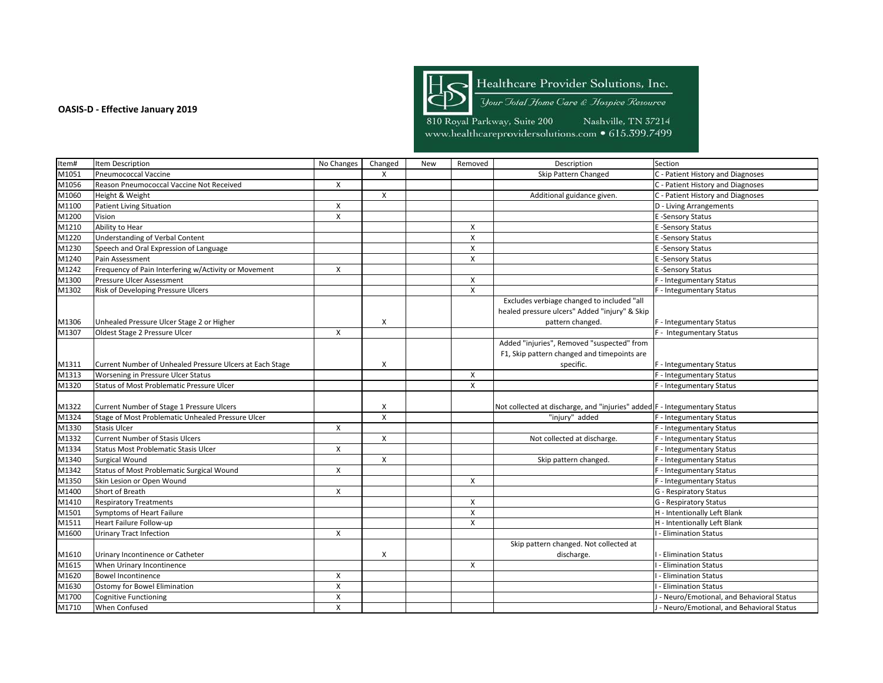

Healthcare Provider Solutions, Inc.

Your Jotal Home Care & Hospice Resource

| Item# | Item Description                                         | No Changes                | Changed      | New | Removed        | Description                                                               | Section                                    |
|-------|----------------------------------------------------------|---------------------------|--------------|-----|----------------|---------------------------------------------------------------------------|--------------------------------------------|
| M1051 | <b>Pneumococcal Vaccine</b>                              |                           | X            |     |                | Skip Pattern Changed                                                      | C - Patient History and Diagnoses          |
| M1056 | Reason Pneumococcal Vaccine Not Received                 | X                         |              |     |                |                                                                           | C - Patient History and Diagnoses          |
| M1060 | Height & Weight                                          |                           | $\pmb{\chi}$ |     |                | Additional guidance given.                                                | C - Patient History and Diagnoses          |
| M1100 | <b>Patient Living Situation</b>                          | X                         |              |     |                |                                                                           | D - Living Arrangements                    |
| M1200 | Vision                                                   | $\mathsf{x}$              |              |     |                |                                                                           | E-Sensory Status                           |
| M1210 | Ability to Hear                                          |                           |              |     | X              |                                                                           | E-Sensory Status                           |
| M1220 | Understanding of Verbal Content                          |                           |              |     | X              |                                                                           | E-Sensory Status                           |
| M1230 | Speech and Oral Expression of Language                   |                           |              |     | X              |                                                                           | E-Sensory Status                           |
| M1240 | Pain Assessment                                          |                           |              |     | $\pmb{\chi}$   |                                                                           | E-Sensory Status                           |
| M1242 | Frequency of Pain Interfering w/Activity or Movement     | $\boldsymbol{\mathsf{X}}$ |              |     |                |                                                                           | E-Sensory Status                           |
| M1300 | Pressure Ulcer Assessment                                |                           |              |     | X              |                                                                           | F - Integumentary Status                   |
| M1302 | Risk of Developing Pressure Ulcers                       |                           |              |     | $\pmb{\times}$ |                                                                           | F - Integumentary Status                   |
|       |                                                          |                           |              |     |                | Excludes verbiage changed to included "all                                |                                            |
|       |                                                          |                           |              |     |                | healed pressure ulcers" Added "injury" & Skip                             |                                            |
| M1306 | Unhealed Pressure Ulcer Stage 2 or Higher                |                           | X            |     |                | pattern changed.                                                          | F - Integumentary Status                   |
| M1307 | Oldest Stage 2 Pressure Ulcer                            | X                         |              |     |                |                                                                           | F - Integumentary Status                   |
|       |                                                          |                           |              |     |                | Added "injuries", Removed "suspected" from                                |                                            |
|       |                                                          |                           |              |     |                | F1, Skip pattern changed and timepoints are                               |                                            |
| M1311 | Current Number of Unhealed Pressure Ulcers at Each Stage |                           | X            |     |                | specific.                                                                 | F - Integumentary Status                   |
| M1313 | Worsening in Pressure Ulcer Status                       |                           |              |     | X              |                                                                           | F - Integumentary Status                   |
| M1320 | <b>Status of Most Problematic Pressure Ulcer</b>         |                           |              |     | $\mathsf{x}$   |                                                                           | F - Integumentary Status                   |
|       |                                                          |                           |              |     |                |                                                                           |                                            |
| M1322 | Current Number of Stage 1 Pressure Ulcers                |                           | X            |     |                | Not collected at discharge, and "injuries" added F - Integumentary Status |                                            |
| M1324 | Stage of Most Problematic Unhealed Pressure Ulcer        |                           | X            |     |                | "injury" added                                                            | F - Integumentary Status                   |
| M1330 | <b>Stasis Ulcer</b>                                      | X                         |              |     |                |                                                                           | F - Integumentary Status                   |
| M1332 | <b>Current Number of Stasis Ulcers</b>                   |                           | X            |     |                | Not collected at discharge.                                               | F - Integumentary Status                   |
| M1334 | Status Most Problematic Stasis Ulcer                     | X                         |              |     |                |                                                                           | F - Integumentary Status                   |
| M1340 | <b>Surgical Wound</b>                                    |                           | X            |     |                | Skip pattern changed.                                                     | F - Integumentary Status                   |
| M1342 | <b>Status of Most Problematic Surgical Wound</b>         | X                         |              |     |                |                                                                           | F - Integumentary Status                   |
| M1350 | Skin Lesion or Open Wound                                |                           |              |     | X              |                                                                           | F - Integumentary Status                   |
| M1400 | Short of Breath                                          | $\mathsf{x}$              |              |     |                |                                                                           | G - Respiratory Status                     |
| M1410 | <b>Respiratory Treatments</b>                            |                           |              |     | $\mathsf{x}$   |                                                                           | G - Respiratory Status                     |
| M1501 | <b>Symptoms of Heart Failure</b>                         |                           |              |     | X              |                                                                           | H - Intentionally Left Blank               |
| M1511 | Heart Failure Follow-up                                  |                           |              |     | $\mathsf{x}$   |                                                                           | H - Intentionally Left Blank               |
| M1600 | <b>Urinary Tract Infection</b>                           | $\boldsymbol{X}$          |              |     |                |                                                                           | - Elimination Status                       |
|       |                                                          |                           |              |     |                | Skip pattern changed. Not collected at                                    |                                            |
| M1610 | Urinary Incontinence or Catheter                         |                           | X            |     |                | discharge.                                                                | - Elimination Status                       |
| M1615 | When Urinary Incontinence                                |                           |              |     | X              |                                                                           | - Elimination Status                       |
| M1620 | <b>Bowel Incontinence</b>                                | X                         |              |     |                |                                                                           | - Elimination Status                       |
| M1630 | Ostomy for Bowel Elimination                             | X                         |              |     |                |                                                                           | - Elimination Status                       |
| M1700 | <b>Cognitive Functioning</b>                             | X                         |              |     |                |                                                                           | - Neuro/Emotional, and Behavioral Status   |
| M1710 | When Confused                                            | $\mathsf{x}$              |              |     |                |                                                                           | J - Neuro/Emotional, and Behavioral Status |
|       |                                                          |                           |              |     |                |                                                                           |                                            |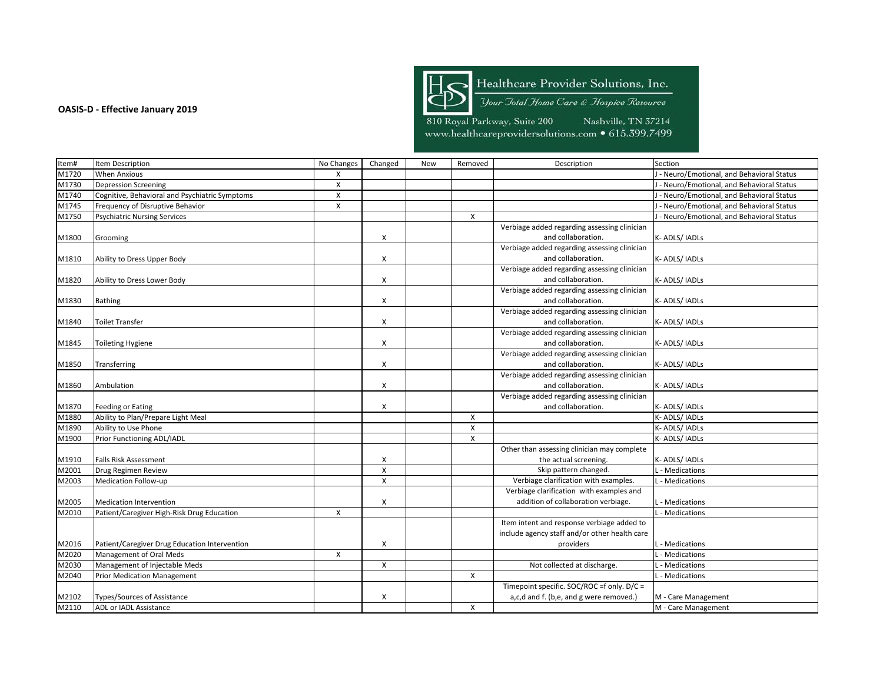

Healthcare Provider Solutions, Inc.

Your Jotal Home Care & Hospice Resource

| Item# | Item Description                               | No Changes     | Changed        | New | Removed      | Description                                   | Section                                    |
|-------|------------------------------------------------|----------------|----------------|-----|--------------|-----------------------------------------------|--------------------------------------------|
| M1720 | <b>When Anxious</b>                            | X              |                |     |              |                                               | J - Neuro/Emotional, and Behavioral Status |
| M1730 | <b>Depression Screening</b>                    | $\mathsf{X}$   |                |     |              |                                               | J - Neuro/Emotional, and Behavioral Status |
| M1740 | Cognitive, Behavioral and Psychiatric Symptoms | X              |                |     |              |                                               | J - Neuro/Emotional, and Behavioral Status |
| M1745 | Frequency of Disruptive Behavior               | $\pmb{\times}$ |                |     |              |                                               | J - Neuro/Emotional, and Behavioral Status |
| M1750 | <b>Psychiatric Nursing Services</b>            |                |                |     | $\mathsf{x}$ |                                               | J - Neuro/Emotional, and Behavioral Status |
|       |                                                |                |                |     |              | Verbiage added regarding assessing clinician  |                                            |
| M1800 | Grooming                                       |                | X              |     |              | and collaboration.                            | K-ADLS/IADLs                               |
|       |                                                |                |                |     |              | Verbiage added regarding assessing clinician  |                                            |
| M1810 | Ability to Dress Upper Body                    |                | X              |     |              | and collaboration.                            | K-ADLS/IADLs                               |
|       |                                                |                |                |     |              | Verbiage added regarding assessing clinician  |                                            |
| M1820 | Ability to Dress Lower Body                    |                | X              |     |              | and collaboration.                            | K-ADLS/IADLs                               |
|       |                                                |                |                |     |              | Verbiage added regarding assessing clinician  |                                            |
| M1830 | <b>Bathing</b>                                 |                | X              |     |              | and collaboration.                            | K-ADLS/IADLs                               |
|       |                                                |                |                |     |              | Verbiage added regarding assessing clinician  |                                            |
| M1840 | Toilet Transfer                                |                | X              |     |              | and collaboration.                            | K-ADLS/IADLs                               |
|       |                                                |                |                |     |              | Verbiage added regarding assessing clinician  |                                            |
| M1845 | Toileting Hygiene                              |                | X              |     |              | and collaboration.                            | K-ADLS/IADLs                               |
|       |                                                |                |                |     |              | Verbiage added regarding assessing clinician  |                                            |
| M1850 | Transferring                                   |                | X              |     |              | and collaboration.                            | K- ADLS/ IADLs                             |
|       |                                                |                |                |     |              | Verbiage added regarding assessing clinician  |                                            |
| M1860 | Ambulation                                     |                | X              |     |              | and collaboration.                            | K-ADLS/IADLs                               |
|       |                                                |                |                |     |              | Verbiage added regarding assessing clinician  |                                            |
| M1870 | Feeding or Eating                              |                | X              |     |              | and collaboration.                            | K-ADLS/IADLs                               |
| M1880 | Ability to Plan/Prepare Light Meal             |                |                |     | $\mathsf{x}$ |                                               | K-ADLS/IADLs                               |
| M1890 | Ability to Use Phone                           |                |                |     | $\mathsf{x}$ |                                               | K-ADLS/IADLs                               |
| M1900 | Prior Functioning ADL/IADL                     |                |                |     | $\mathsf{x}$ |                                               | K-ADLS/IADLs                               |
|       |                                                |                |                |     |              | Other than assessing clinician may complete   |                                            |
| M1910 | <b>Falls Risk Assessment</b>                   |                | X              |     |              | the actual screening.                         | K-ADLS/IADLs                               |
| M2001 | Drug Regimen Review                            |                | $\pmb{\times}$ |     |              | Skip pattern changed.                         | - Medications                              |
| M2003 | Medication Follow-up                           |                | $\mathsf{X}$   |     |              | Verbiage clarification with examples.         | . - Medications                            |
|       |                                                |                |                |     |              | Verbiage clarification with examples and      |                                            |
| M2005 | <b>Medication Intervention</b>                 |                | X              |     |              | addition of collaboration verbiage.           | L - Medications                            |
| M2010 | Patient/Caregiver High-Risk Drug Education     | X              |                |     |              |                                               | - Medications                              |
|       |                                                |                |                |     |              | Item intent and response verbiage added to    |                                            |
|       |                                                |                |                |     |              | include agency staff and/or other health care |                                            |
| M2016 | Patient/Caregiver Drug Education Intervention  |                | X              |     |              | providers                                     | - Medications                              |
| M2020 | Management of Oral Meds                        | X              |                |     |              |                                               | - Medications                              |
| M2030 | Management of Injectable Meds                  |                | $\mathsf{X}$   |     |              | Not collected at discharge.                   | .- Medications                             |
| M2040 | <b>Prior Medication Management</b>             |                |                |     | $\mathsf{x}$ |                                               | . - Medications                            |
|       |                                                |                |                |     |              | Timepoint specific. SOC/ROC =f only. D/C =    |                                            |
| M2102 | Types/Sources of Assistance                    |                | X              |     |              | a,c,d and f. (b,e, and g were removed.)       | M - Care Management                        |
| M2110 | ADL or IADL Assistance                         |                |                |     | X            |                                               | M - Care Management                        |
|       |                                                |                |                |     |              |                                               |                                            |